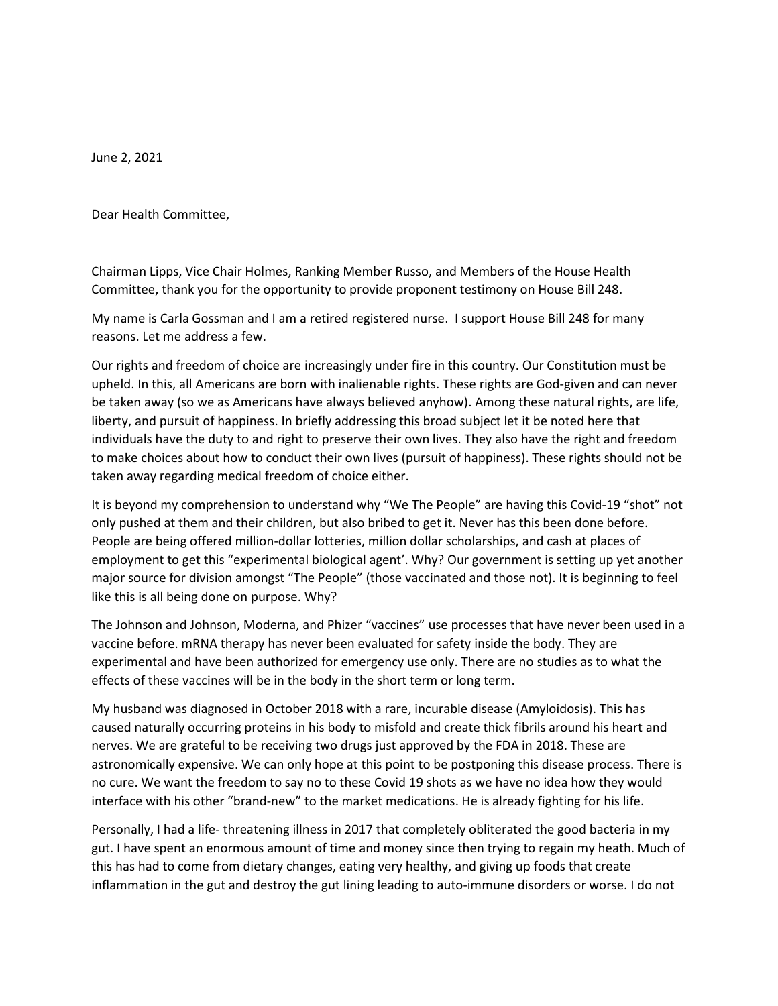June 2, 2021

Dear Health Committee,

Chairman Lipps, Vice Chair Holmes, Ranking Member Russo, and Members of the House Health Committee, thank you for the opportunity to provide proponent testimony on House Bill 248.

My name is Carla Gossman and I am a retired registered nurse. I support House Bill 248 for many reasons. Let me address a few.

Our rights and freedom of choice are increasingly under fire in this country. Our Constitution must be upheld. In this, all Americans are born with inalienable rights. These rights are God-given and can never be taken away (so we as Americans have always believed anyhow). Among these natural rights, are life, liberty, and pursuit of happiness. In briefly addressing this broad subject let it be noted here that individuals have the duty to and right to preserve their own lives. They also have the right and freedom to make choices about how to conduct their own lives (pursuit of happiness). These rights should not be taken away regarding medical freedom of choice either.

It is beyond my comprehension to understand why "We The People" are having this Covid-19 "shot" not only pushed at them and their children, but also bribed to get it. Never has this been done before. People are being offered million-dollar lotteries, million dollar scholarships, and cash at places of employment to get this "experimental biological agent'. Why? Our government is setting up yet another major source for division amongst "The People" (those vaccinated and those not). It is beginning to feel like this is all being done on purpose. Why?

The Johnson and Johnson, Moderna, and Phizer "vaccines" use processes that have never been used in a vaccine before. mRNA therapy has never been evaluated for safety inside the body. They are experimental and have been authorized for emergency use only. There are no studies as to what the effects of these vaccines will be in the body in the short term or long term.

My husband was diagnosed in October 2018 with a rare, incurable disease (Amyloidosis). This has caused naturally occurring proteins in his body to misfold and create thick fibrils around his heart and nerves. We are grateful to be receiving two drugs just approved by the FDA in 2018. These are astronomically expensive. We can only hope at this point to be postponing this disease process. There is no cure. We want the freedom to say no to these Covid 19 shots as we have no idea how they would interface with his other "brand-new" to the market medications. He is already fighting for his life.

Personally, I had a life- threatening illness in 2017 that completely obliterated the good bacteria in my gut. I have spent an enormous amount of time and money since then trying to regain my heath. Much of this has had to come from dietary changes, eating very healthy, and giving up foods that create inflammation in the gut and destroy the gut lining leading to auto-immune disorders or worse. I do not